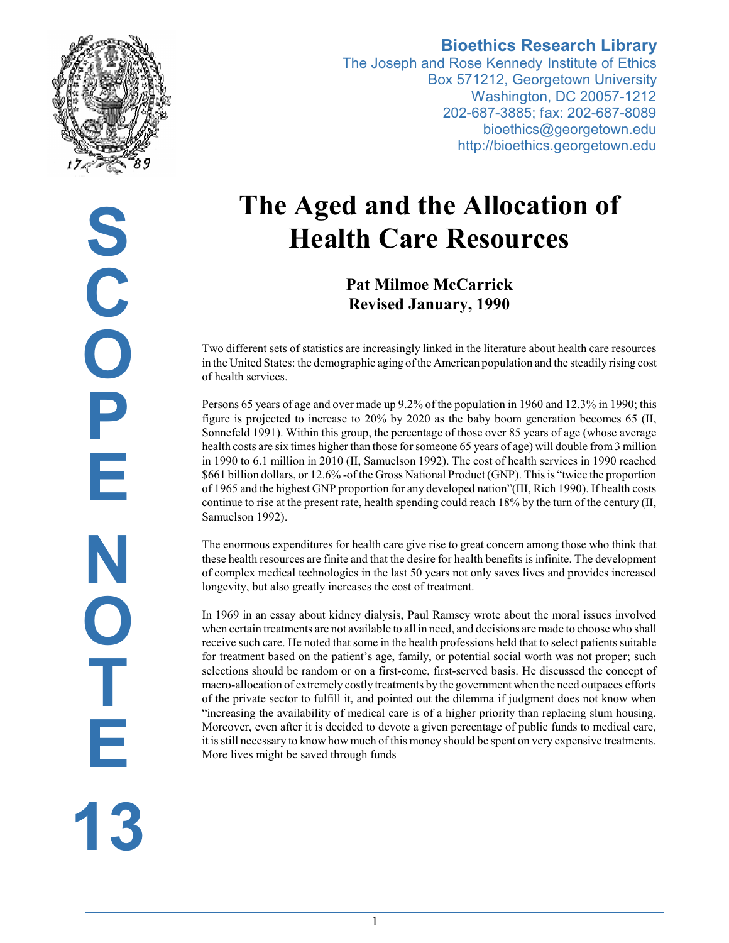

**Bioethics Research Library** The Joseph and Rose Kennedy Institute of Ethics Box 571212, Georgetown University

Washington, DC 20057-1212 202-687-3885; fax: 202-687-8089 bioethics@georgetown.edu http://bioethics.georgetown.edu

# **The Aged and the Allocation of Health Care Resources**

**Pat Milmoe McCarrick Revised January, 1990**

Two different sets of statistics are increasingly linked in the literature about health care resources in the United States: the demographic aging ofthe American population and the steadily rising cost of health services.

Persons 65 years of age and over made up 9.2% of the population in 1960 and 12.3% in 1990; this figure is projected to increase to 20% by 2020 as the baby boom generation becomes 65 (II, Sonnefeld 1991). Within this group, the percentage of those over 85 years of age (whose average health costs are six times higher than those for someone 65 years of age) will double from 3 million in 1990 to 6.1 million in 2010 (II, Samuelson 1992). The cost of health services in 1990 reached \$661 billion dollars, or 12.6% -of the Gross National Product (GNP). This is "twice the proportion of 1965 and the highest GNP proportion for any developed nation"(III, Rich 1990). If health costs continue to rise at the present rate, health spending could reach 18% by the turn of the century (II, Samuelson 1992).

The enormous expenditures for health care give rise to great concern among those who think that these health resources are finite and that the desire for health benefits is infinite. The development of complex medical technologies in the last 50 years not only saves lives and provides increased longevity, but also greatly increases the cost of treatment.

In 1969 in an essay about kidney dialysis, Paul Ramsey wrote about the moral issues involved when certain treatments are not available to all in need, and decisions are made to choose who shall receive such care. He noted that some in the health professions held that to select patients suitable for treatment based on the patient's age, family, or potential social worth was not proper; such selections should be random or on a first-come, first-served basis. He discussed the concept of macro-allocation of extremely costly treatments by the government when the need outpaces efforts of the private sector to fulfill it, and pointed out the dilemma if judgment does not know when "increasing the availability of medical care is of a higher priority than replacing slum housing. Moreover, even after it is decided to devote a given percentage of public funds to medical care, it is still necessary to know how much of this money should be spent on very expensive treatments. More lives might be saved through funds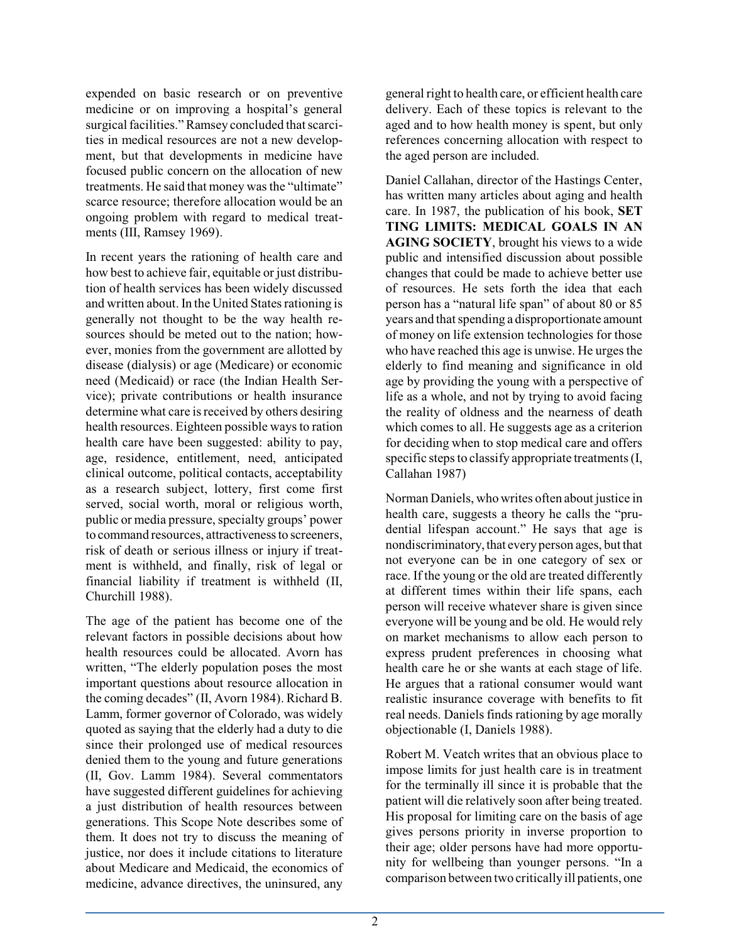expended on basic research or on preventive medicine or on improving a hospital's general surgical facilities." Ramsey concluded that scarcities in medical resources are not a new development, but that developments in medicine have focused public concern on the allocation of new treatments. He said that money was the "ultimate" scarce resource; therefore allocation would be an ongoing problem with regard to medical treatments (III, Ramsey 1969).

In recent years the rationing of health care and how best to achieve fair, equitable or just distribution of health services has been widely discussed and written about. In the United States rationing is generally not thought to be the way health resources should be meted out to the nation; however, monies from the government are allotted by disease (dialysis) or age (Medicare) or economic need (Medicaid) or race (the Indian Health Service); private contributions or health insurance determine what care is received by others desiring health resources. Eighteen possible ways to ration health care have been suggested: ability to pay, age, residence, entitlement, need, anticipated clinical outcome, political contacts, acceptability as a research subject, lottery, first come first served, social worth, moral or religious worth, public or media pressure, specialty groups' power to command resources, attractiveness to screeners, risk of death or serious illness or injury if treatment is withheld, and finally, risk of legal or financial liability if treatment is withheld (II, Churchill 1988).

The age of the patient has become one of the relevant factors in possible decisions about how health resources could be allocated. Avorn has written, "The elderly population poses the most important questions about resource allocation in the coming decades" (II, Avorn 1984). Richard B. Lamm, former governor of Colorado, was widely quoted as saying that the elderly had a duty to die since their prolonged use of medical resources denied them to the young and future generations (II, Gov. Lamm 1984). Several commentators have suggested different guidelines for achieving a just distribution of health resources between generations. This Scope Note describes some of them. It does not try to discuss the meaning of justice, nor does it include citations to literature about Medicare and Medicaid, the economics of medicine, advance directives, the uninsured, any

general right to health care, or efficient health care delivery. Each of these topics is relevant to the aged and to how health money is spent, but only references concerning allocation with respect to the aged person are included.

Daniel Callahan, director of the Hastings Center, has written many articles about aging and health care. In 1987, the publication of his book, **SET TING LIMITS: MEDICAL GOALS IN AN AGING SOCIETY**, brought his views to a wide public and intensified discussion about possible changes that could be made to achieve better use of resources. He sets forth the idea that each person has a "natural life span" of about 80 or 85 years and that spending a disproportionate amount of money on life extension technologies for those who have reached this age is unwise. He urges the elderly to find meaning and significance in old age by providing the young with a perspective of life as a whole, and not by trying to avoid facing the reality of oldness and the nearness of death which comes to all. He suggests age as a criterion for deciding when to stop medical care and offers specific steps to classify appropriate treatments (I, Callahan 1987)

Norman Daniels, who writes often about justice in health care, suggests a theory he calls the "prudential lifespan account." He says that age is nondiscriminatory, that every person ages, but that not everyone can be in one category of sex or race. If the young or the old are treated differently at different times within their life spans, each person will receive whatever share is given since everyone will be young and be old. He would rely on market mechanisms to allow each person to express prudent preferences in choosing what health care he or she wants at each stage of life. He argues that a rational consumer would want realistic insurance coverage with benefits to fit real needs. Daniels finds rationing by age morally objectionable (I, Daniels 1988).

Robert M. Veatch writes that an obvious place to impose limits for just health care is in treatment for the terminally ill since it is probable that the patient will die relatively soon after being treated. His proposal for limiting care on the basis of age gives persons priority in inverse proportion to their age; older persons have had more opportunity for wellbeing than younger persons. "In a comparison between two critically ill patients, one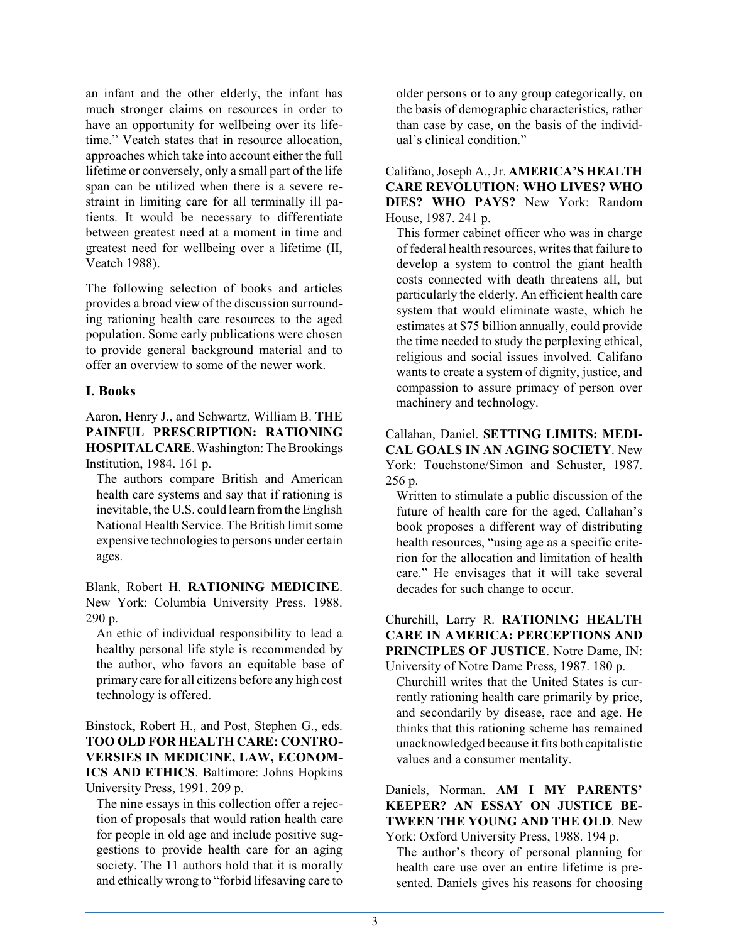an infant and the other elderly, the infant has much stronger claims on resources in order to have an opportunity for wellbeing over its lifetime." Veatch states that in resource allocation, approaches which take into account either the full lifetime or conversely, only a small part of the life span can be utilized when there is a severe restraint in limiting care for all terminally ill patients. It would be necessary to differentiate between greatest need at a moment in time and greatest need for wellbeing over a lifetime (II, Veatch 1988).

The following selection of books and articles provides a broad view of the discussion surrounding rationing health care resources to the aged population. Some early publications were chosen to provide general background material and to offer an overview to some of the newer work.

## **I. Books**

Aaron, Henry J., and Schwartz, William B. **THE PAINFUL PRESCRIPTION: RATIONING HOSPITALCARE**.Washington: The Brookings Institution, 1984. 161 p.

The authors compare British and American health care systems and say that if rationing is inevitable, the U.S. could learn fromthe English National Health Service. The British limit some expensive technologies to persons under certain ages.

Blank, Robert H. **RATIONING MEDICINE**. New York: Columbia University Press. 1988. 290 p.

An ethic of individual responsibility to lead a healthy personal life style is recommended by the author, who favors an equitable base of primary care for all citizens before any high cost technology is offered.

Binstock, Robert H., and Post, Stephen G., eds. **TOO OLD FOR HEALTH CARE: CONTRO-VERSIES IN MEDICINE, LAW, ECONOM-ICS AND ETHICS**. Baltimore: Johns Hopkins University Press, 1991. 209 p.

The nine essays in this collection offer a rejection of proposals that would ration health care for people in old age and include positive suggestions to provide health care for an aging society. The 11 authors hold that it is morally and ethically wrong to "forbid lifesaving care to older persons or to any group categorically, on the basis of demographic characteristics, rather than case by case, on the basis of the individual's clinical condition."

Califano, Joseph A., Jr. **AMERICA'S HEALTH CARE REVOLUTION: WHO LIVES? WHO DIES? WHO PAYS?** New York: Random House, 1987. 241 p.

This former cabinet officer who was in charge of federal health resources, writes that failure to develop a system to control the giant health costs connected with death threatens all, but particularly the elderly. An efficient health care system that would eliminate waste, which he estimates at \$75 billion annually, could provide the time needed to study the perplexing ethical, religious and social issues involved. Califano wants to create a system of dignity, justice, and compassion to assure primacy of person over machinery and technology.

Callahan, Daniel. **SETTING LIMITS: MEDI-CAL GOALS IN AN AGING SOCIETY**. New York: Touchstone/Simon and Schuster, 1987. 256 p.

Written to stimulate a public discussion of the future of health care for the aged, Callahan's book proposes a different way of distributing health resources, "using age as a specific criterion for the allocation and limitation of health care." He envisages that it will take several decades for such change to occur.

Churchill, Larry R. **RATIONING HEALTH CARE IN AMERICA: PERCEPTIONS AND PRINCIPLES OF JUSTICE**. Notre Dame, IN: University of Notre Dame Press, 1987. 180 p.

Churchill writes that the United States is currently rationing health care primarily by price, and secondarily by disease, race and age. He thinks that this rationing scheme has remained unacknowledged because it fits both capitalistic values and a consumer mentality.

Daniels, Norman. **AM I MY PARENTS' KEEPER? AN ESSAY ON JUSTICE BE-TWEEN THE YOUNG AND THE OLD**. New York: Oxford University Press, 1988. 194 p.

The author's theory of personal planning for health care use over an entire lifetime is presented. Daniels gives his reasons for choosing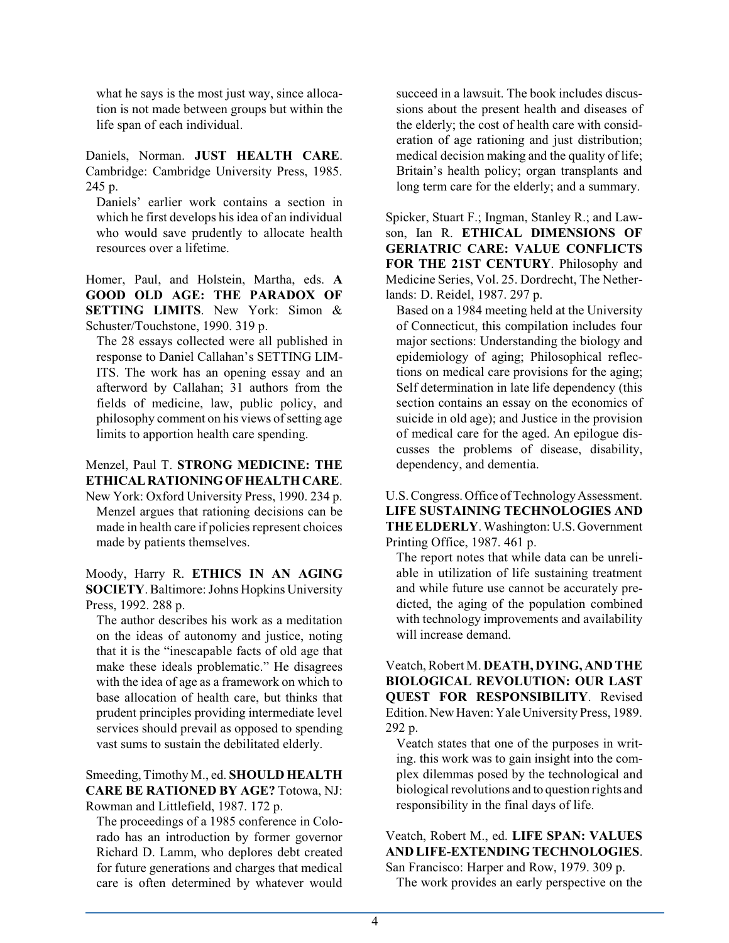what he says is the most just way, since allocation is not made between groups but within the life span of each individual.

Daniels, Norman. **JUST HEALTH CARE**. Cambridge: Cambridge University Press, 1985. 245 p.

Daniels' earlier work contains a section in which he first develops his idea of an individual who would save prudently to allocate health resources over a lifetime.

Homer, Paul, and Holstein, Martha, eds. **A GOOD OLD AGE: THE PARADOX OF SETTING LIMITS**. New York: Simon & Schuster/Touchstone, 1990. 319 p.

The 28 essays collected were all published in response to Daniel Callahan's SETTING LIM-ITS. The work has an opening essay and an afterword by Callahan; 31 authors from the fields of medicine, law, public policy, and philosophy comment on his views of setting age limits to apportion health care spending.

## Menzel, Paul T. **STRONG MEDICINE: THE ETHICALRATIONINGOF HEALTHCARE**.

New York: Oxford University Press, 1990. 234 p. Menzel argues that rationing decisions can be made in health care if policies represent choices made by patients themselves.

Moody, Harry R. **ETHICS IN AN AGING SOCIETY**. Baltimore:Johns Hopkins University Press, 1992. 288 p.

The author describes his work as a meditation on the ideas of autonomy and justice, noting that it is the "inescapable facts of old age that make these ideals problematic." He disagrees with the idea of age as a framework on which to base allocation of health care, but thinks that prudent principles providing intermediate level services should prevail as opposed to spending vast sums to sustain the debilitated elderly.

Smeeding, Timothy M., ed. **SHOULD HEALTH CARE BE RATIONED BY AGE?** Totowa, NJ: Rowman and Littlefield, 1987. 172 p.

The proceedings of a 1985 conference in Colorado has an introduction by former governor Richard D. Lamm, who deplores debt created for future generations and charges that medical care is often determined by whatever would succeed in a lawsuit. The book includes discussions about the present health and diseases of the elderly; the cost of health care with consideration of age rationing and just distribution; medical decision making and the quality of life; Britain's health policy; organ transplants and long term care for the elderly; and a summary.

Spicker, Stuart F.; Ingman, Stanley R.; and Lawson, Ian R. **ETHICAL DIMENSIONS OF GERIATRIC CARE: VALUE CONFLICTS FOR THE 21ST CENTURY**. Philosophy and Medicine Series, Vol. 25. Dordrecht, The Netherlands: D. Reidel, 1987. 297 p.

Based on a 1984 meeting held at the University of Connecticut, this compilation includes four major sections: Understanding the biology and epidemiology of aging; Philosophical reflections on medical care provisions for the aging; Self determination in late life dependency (this section contains an essay on the economics of suicide in old age); and Justice in the provision of medical care for the aged. An epilogue discusses the problems of disease, disability, dependency, and dementia.

U.S. Congress. Office of Technology Assessment. **LIFE SUSTAINING TECHNOLOGIES AND THE ELDERLY**. Washington: U.S. Government Printing Office, 1987. 461 p.

The report notes that while data can be unreliable in utilization of life sustaining treatment and while future use cannot be accurately predicted, the aging of the population combined with technology improvements and availability will increase demand.

Veatch, Robert M. **DEATH, DYING, AND THE BIOLOGICAL REVOLUTION: OUR LAST QUEST FOR RESPONSIBILITY**. Revised Edition. New Haven: Yale University Press, 1989. 292 p.

Veatch states that one of the purposes in writing. this work was to gain insight into the complex dilemmas posed by the technological and biological revolutions and to question rights and responsibility in the final days of life.

Veatch, Robert M., ed. **LIFE SPAN: VALUES AND LIFE-EXTENDING TECHNOLOGIES**. San Francisco: Harper and Row, 1979. 309 p.

The work provides an early perspective on the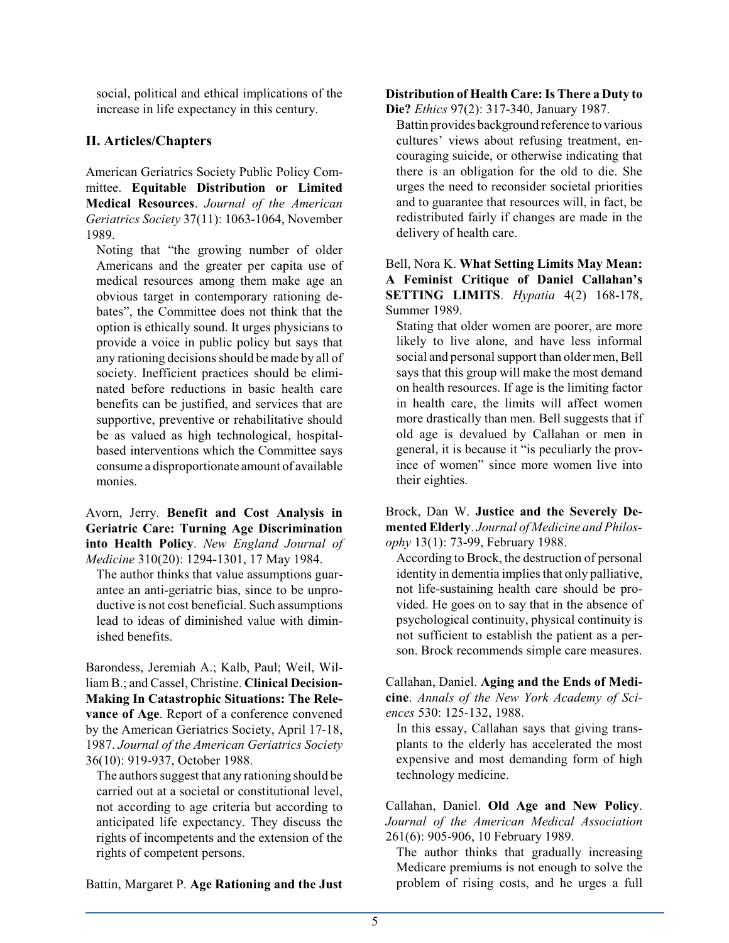social, political and ethical implications of the increase in life expectancy in this century.

## **II. Articles/Chapters**

American Geriatrics Society Public Policy Committee. **Equitable Distribution or Limited Medical Resources**. *Journal of the American Geriatrics Society* 37(11): 1063-1064, November 1989.

Noting that "the growing number of older Americans and the greater per capita use of medical resources among them make age an obvious target in contemporary rationing debates", the Committee does not think that the option is ethically sound. It urges physicians to provide a voice in public policy but says that any rationing decisions should be made by all of society. Inefficient practices should be eliminated before reductions in basic health care benefits can be justified, and services that are supportive, preventive or rehabilitative should be as valued as high technological, hospitalbased interventions which the Committee says consume a disproportionate amount of available monies.

Avorn, Jerry. **Benefit and Cost Analysis in Geriatric Care: Turning Age Discrimination into Health Policy**. *New England Journal of Medicine* 310(20): 1294-1301, 17 May 1984.

The author thinks that value assumptions guarantee an anti-geriatric bias, since to be unproductive is not cost beneficial. Such assumptions lead to ideas of diminished value with diminished benefits.

Barondess, Jeremiah A.; Kalb, Paul; Weil, William B.; and Cassel, Christine. **Clinical Decision-Making In Catastrophic Situations: The Relevance of Age**. Report of a conference convened by the American Geriatrics Society, April 17-18, 1987. *Journal of the American Geriatrics Society* 36(10): 919-937, October 1988.

The authors suggest that any rationing should be carried out at a societal or constitutional level, not according to age criteria but according to anticipated life expectancy. They discuss the rights of incompetents and the extension of the rights of competent persons.

Battin, Margaret P. **Age Rationing and the Just**

#### **Distribution of Health Care:Is There a Duty to Die?** *Ethics* 97(2): 317-340, January 1987.

Battin provides background reference to various cultures' views about refusing treatment, encouraging suicide, or otherwise indicating that there is an obligation for the old to die. She urges the need to reconsider societal priorities and to guarantee that resources will, in fact, be redistributed fairly if changes are made in the delivery of health care.

## Bell, Nora K. **What Setting Limits May Mean: A Feminist Critique of Daniel Callahan's SETTING LIMITS**. *Hypatia* 4(2) 168-178, Summer 1989.

Stating that older women are poorer, are more likely to live alone, and have less informal social and personal support than older men, Bell says that this group will make the most demand on health resources. If age is the limiting factor in health care, the limits will affect women more drastically than men. Bell suggests that if old age is devalued by Callahan or men in general, it is because it "is peculiarly the province of women" since more women live into their eighties.

Brock, Dan W. **Justice and the Severely Demented Elderly**. *Journal of Medicine and Philosophy* 13(1): 73-99, February 1988.

According to Brock, the destruction of personal identity in dementia implies that only palliative, not life-sustaining health care should be provided. He goes on to say that in the absence of psychological continuity, physical continuity is not sufficient to establish the patient as a person. Brock recommends simple care measures.

Callahan, Daniel. **Aging and the Ends of Medicine**. *Annals of the New York Academy of Sciences* 530: 125-132, 1988.

In this essay, Callahan says that giving transplants to the elderly has accelerated the most expensive and most demanding form of high technology medicine.

Callahan, Daniel. **Old Age and New Policy**. *Journal of the American Medical Association* 261(6): 905-906, 10 February 1989.

The author thinks that gradually increasing Medicare premiums is not enough to solve the problem of rising costs, and he urges a full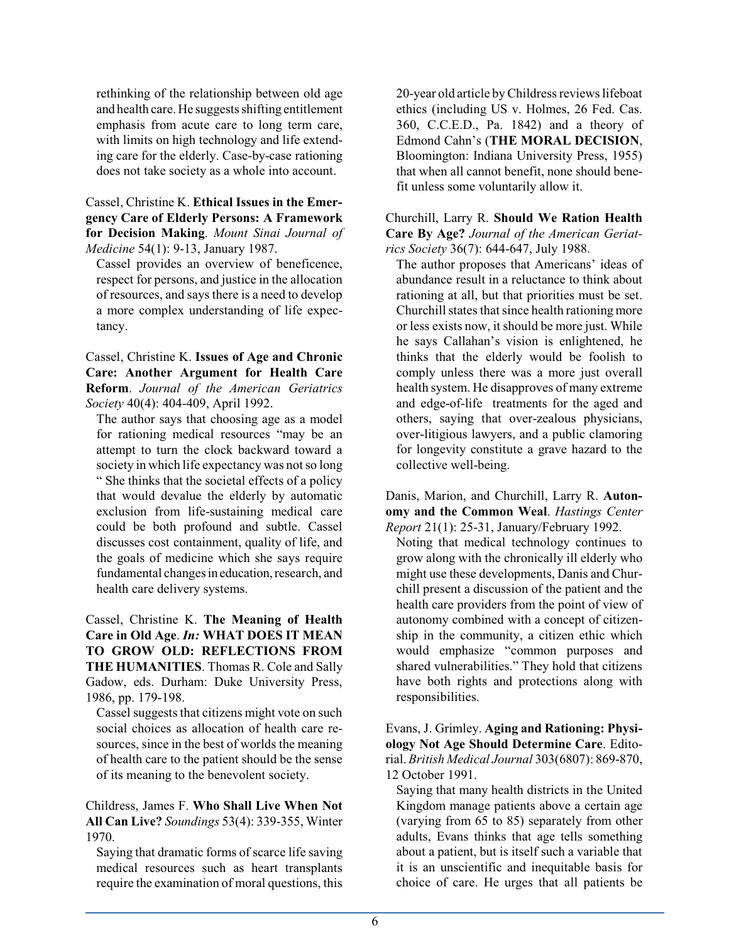rethinking of the relationship between old age and health care. He suggests shifting entitlement emphasis from acute care to long term care, with limits on high technology and life extending care for the elderly. Case-by-case rationing does not take society as a whole into account.

Cassel, Christine K. **Ethical Issues in the Emergency Care of Elderly Persons: A Framework for Decision Making**. *Mount Sinai Journal of Medicine* 54(1): 9-13, January 1987.

Cassel provides an overview of beneficence, respect for persons, and justice in the allocation of resources, and says there is a need to develop a more complex understanding of life expectancy.

Cassel, Christine K. **Issues of Age and Chronic Care: Another Argument for Health Care Reform**. *Journal of the American Geriatrics Society* 40(4): 404-409, April 1992.

The author says that choosing age as a model for rationing medical resources "may be an attempt to turn the clock backward toward a society in which life expectancy was not so long " She thinks that the societal effects of a policy that would devalue the elderly by automatic exclusion from life-sustaining medical care could be both profound and subtle. Cassel discusses cost containment, quality of life, and the goals of medicine which she says require fundamental changes in education, research, and health care delivery systems.

Cassel, Christine K. **The Meaning of Health Care in Old Age**. *In:* **WHAT DOES IT MEAN TO GROW OLD: REFLECTIONS FROM THE HUMANITIES**. Thomas R. Cole and Sally Gadow, eds. Durham: Duke University Press, 1986, pp. 179-198.

Cassel suggests that citizens might vote on such social choices as allocation of health care resources, since in the best of worlds the meaning of health care to the patient should be the sense of its meaning to the benevolent society.

Childress, James F. **Who Shall Live When Not All Can Live?** *Soundings* 53(4): 339-355, Winter 1970.

Saying that dramatic forms of scarce life saving medical resources such as heart transplants require the examination of moral questions, this 20-year old article byChildress reviews lifeboat ethics (including US v. Holmes, 26 Fed. Cas. 360, C.C.E.D., Pa. 1842) and a theory of Edmond Cahn's (**THE MORAL DECISION**, Bloomington: Indiana University Press, 1955) that when all cannot benefit, none should benefit unless some voluntarily allow it.

Churchill, Larry R. **Should We Ration Health Care By Age?** *Journal of the American Geriatrics Society* 36(7): 644-647, July 1988.

The author proposes that Americans' ideas of abundance result in a reluctance to think about rationing at all, but that priorities must be set. Churchill states that since health rationing more or less exists now, it should be more just. While he says Callahan's vision is enlightened, he thinks that the elderly would be foolish to comply unless there was a more just overall health system. He disapproves of many extreme and edge-of-life treatments for the aged and others, saying that over-zealous physicians, over-litigious lawyers, and a public clamoring for longevity constitute a grave hazard to the collective well-being.

Danis, Marion, and Churchill, Larry R. **Autonomy and the Common Weal**. *Hastings Center Report* 21(1): 25-31, January/February 1992.

Noting that medical technology continues to grow along with the chronically ill elderly who might use these developments, Danis and Churchill present a discussion of the patient and the health care providers from the point of view of autonomy combined with a concept of citizenship in the community, a citizen ethic which would emphasize "common purposes and shared vulnerabilities." They hold that citizens have both rights and protections along with responsibilities.

Evans, J. Grimley. **Aging and Rationing: Physiology Not Age Should Determine Care**. Editorial. *British Medical Journal* 303(6807): 869-870, 12 October 1991.

Saying that many health districts in the United Kingdom manage patients above a certain age (varying from 65 to 85) separately from other adults, Evans thinks that age tells something about a patient, but is itself such a variable that it is an unscientific and inequitable basis for choice of care. He urges that all patients be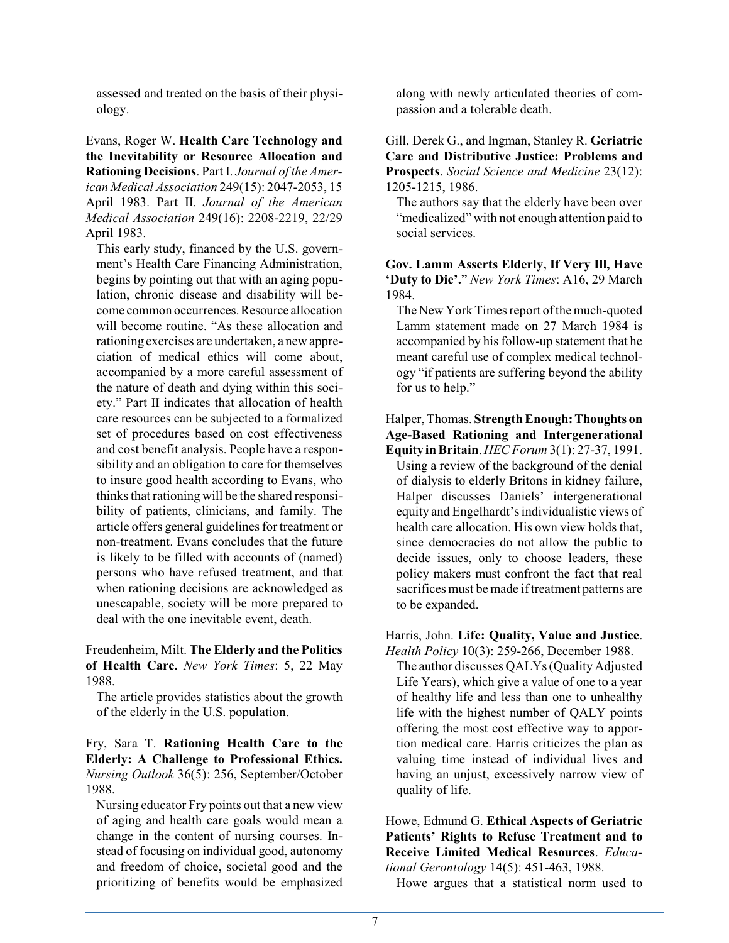assessed and treated on the basis of their physiology.

Evans, Roger W. **Health Care Technology and the Inevitability or Resource Allocation and Rationing Decisions**. Part I. *Journal of the American Medical Association* 249(15): 2047-2053, 15 April 1983. Part II. *Journal of the American Medical Association* 249(16): 2208-2219, 22/29 April 1983.

This early study, financed by the U.S. government's Health Care Financing Administration, begins by pointing out that with an aging population, chronic disease and disability will become common occurrences.Resource allocation will become routine. "As these allocation and rationing exercises are undertaken, a new appreciation of medical ethics will come about, accompanied by a more careful assessment of the nature of death and dying within this society." Part II indicates that allocation of health care resources can be subjected to a formalized set of procedures based on cost effectiveness and cost benefit analysis. People have a responsibility and an obligation to care for themselves to insure good health according to Evans, who thinks that rationing will be the shared responsibility of patients, clinicians, and family. The article offers general guidelines for treatment or non-treatment. Evans concludes that the future is likely to be filled with accounts of (named) persons who have refused treatment, and that when rationing decisions are acknowledged as unescapable, society will be more prepared to deal with the one inevitable event, death.

Freudenheim, Milt. **The Elderly and the Politics of Health Care.** *New York Times*: 5, 22 May 1988.

The article provides statistics about the growth of the elderly in the U.S. population.

Fry, Sara T. **Rationing Health Care to the Elderly: A Challenge to Professional Ethics.** *Nursing Outlook* 36(5): 256, September/October 1988.

Nursing educator Fry points out that a new view of aging and health care goals would mean a change in the content of nursing courses. Instead of focusing on individual good, autonomy and freedom of choice, societal good and the prioritizing of benefits would be emphasized along with newly articulated theories of compassion and a tolerable death.

Gill, Derek G., and Ingman, Stanley R. **Geriatric Care and Distributive Justice: Problems and Prospects**. *Social Science and Medicine* 23(12): 1205-1215, 1986.

The authors say that the elderly have been over "medicalized" with not enough attention paid to social services.

**Gov. Lamm Asserts Elderly, If Very Ill, Have 'Duty to Die'.**" *New York Times*: A16, 29 March 1984.

The New York Times report of the much-quoted Lamm statement made on 27 March 1984 is accompanied by his follow-up statement that he meant careful use of complex medical technology "if patients are suffering beyond the ability for us to help."

### Halper, Thomas. **Strength Enough:Thoughts on Age-Based Rationing and Intergenerational Equity in Britain**. *HEC Forum* 3(1): 27-37, 1991.

Using a review of the background of the denial of dialysis to elderly Britons in kidney failure, Halper discusses Daniels' intergenerational equity and Engelhardt's individualistic views of health care allocation. His own view holds that, since democracies do not allow the public to decide issues, only to choose leaders, these policy makers must confront the fact that real sacrifices must be made if treatment patterns are to be expanded.

Harris, John. **Life: Quality, Value and Justice**. *Health Policy* 10(3): 259-266, December 1988.

The author discusses QALYs (Quality Adjusted Life Years), which give a value of one to a year of healthy life and less than one to unhealthy life with the highest number of QALY points offering the most cost effective way to apportion medical care. Harris criticizes the plan as valuing time instead of individual lives and having an unjust, excessively narrow view of quality of life.

Howe, Edmund G. **Ethical Aspects of Geriatric Patients' Rights to Refuse Treatment and to Receive Limited Medical Resources**. *Educational Gerontology* 14(5): 451-463, 1988.

Howe argues that a statistical norm used to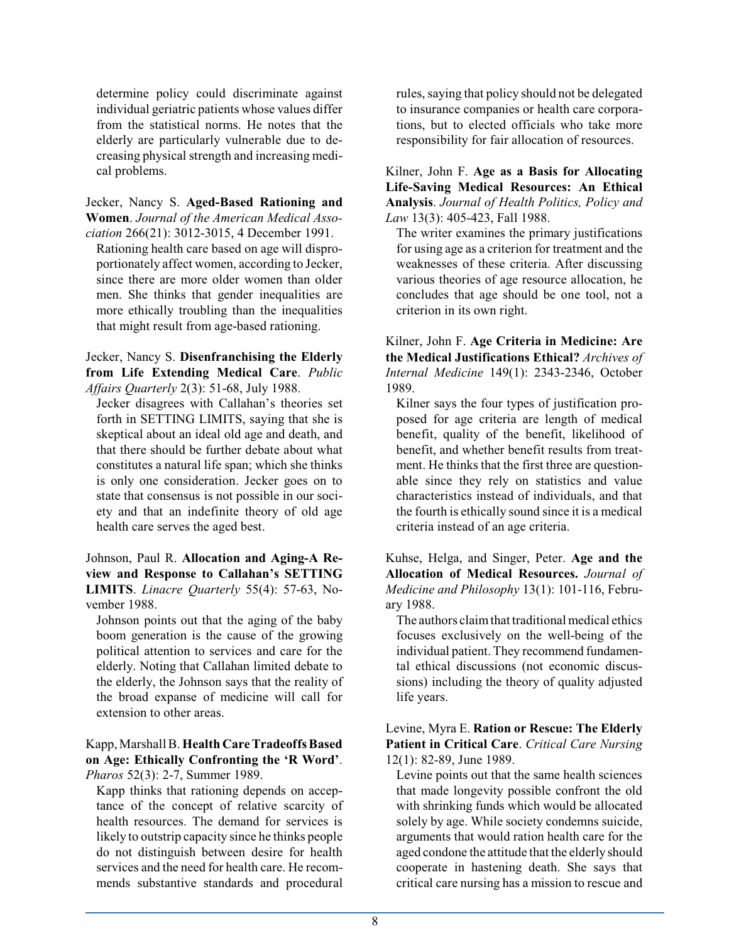determine policy could discriminate against individual geriatric patients whose values differ from the statistical norms. He notes that the elderly are particularly vulnerable due to decreasing physical strength and increasing medical problems.

Jecker, Nancy S. **Aged-Based Rationing and Women**. *Journal of the American Medical Association* 266(21): 3012-3015, 4 December 1991.

Rationing health care based on age will disproportionately affect women, according to Jecker, since there are more older women than older men. She thinks that gender inequalities are more ethically troubling than the inequalities that might result from age-based rationing.

#### Jecker, Nancy S. **Disenfranchising the Elderly from Life Extending Medical Care**. *Public Affairs Quarterly* 2(3): 51-68, July 1988.

Jecker disagrees with Callahan's theories set forth in SETTING LIMITS, saying that she is skeptical about an ideal old age and death, and that there should be further debate about what constitutes a natural life span; which she thinks is only one consideration. Jecker goes on to state that consensus is not possible in our society and that an indefinite theory of old age health care serves the aged best.

Johnson, Paul R. **Allocation and Aging-A Review and Response to Callahan's SETTING LIMITS**. *Linacre Quarterly* 55(4): 57-63, November 1988.

Johnson points out that the aging of the baby boom generation is the cause of the growing political attention to services and care for the elderly. Noting that Callahan limited debate to the elderly, the Johnson says that the reality of the broad expanse of medicine will call for extension to other areas.

#### Kapp, MarshallB. **Health Care Tradeoffs Based on Age: Ethically Confronting the 'R Word'**. *Pharos* 52(3): 2-7, Summer 1989.

Kapp thinks that rationing depends on acceptance of the concept of relative scarcity of health resources. The demand for services is likely to outstrip capacity since he thinks people do not distinguish between desire for health services and the need for health care. He recommends substantive standards and procedural

rules, saying that policy should not be delegated to insurance companies or health care corporations, but to elected officials who take more responsibility for fair allocation of resources.

Kilner, John F. **Age as a Basis for Allocating Life-Saving Medical Resources: An Ethical Analysis**. *Journal of Health Politics, Policy and Law* 13(3): 405-423, Fall 1988.

The writer examines the primary justifications for using age as a criterion for treatment and the weaknesses of these criteria. After discussing various theories of age resource allocation, he concludes that age should be one tool, not a criterion in its own right.

Kilner, John F. **Age Criteria in Medicine: Are the Medical Justifications Ethical?** *Archives of Internal Medicine* 149(1): 2343-2346, October 1989.

Kilner says the four types of justification proposed for age criteria are length of medical benefit, quality of the benefit, likelihood of benefit, and whether benefit results from treatment. He thinks that the first three are questionable since they rely on statistics and value characteristics instead of individuals, and that the fourth is ethically sound since it is a medical criteria instead of an age criteria.

Kuhse, Helga, and Singer, Peter. **Age and the Allocation of Medical Resources.** *Journal of Medicine and Philosophy* 13(1): 101-116, February 1988.

The authors claim that traditional medical ethics focuses exclusively on the well-being of the individual patient. They recommend fundamental ethical discussions (not economic discussions) including the theory of quality adjusted life years.

Levine, Myra E. **Ration or Rescue: The Elderly Patient in Critical Care**. *Critical Care Nursing* 12(1): 82-89, June 1989.

Levine points out that the same health sciences that made longevity possible confront the old with shrinking funds which would be allocated solely by age. While society condemns suicide, arguments that would ration health care for the aged condone the attitude that the elderly should cooperate in hastening death. She says that critical care nursing has a mission to rescue and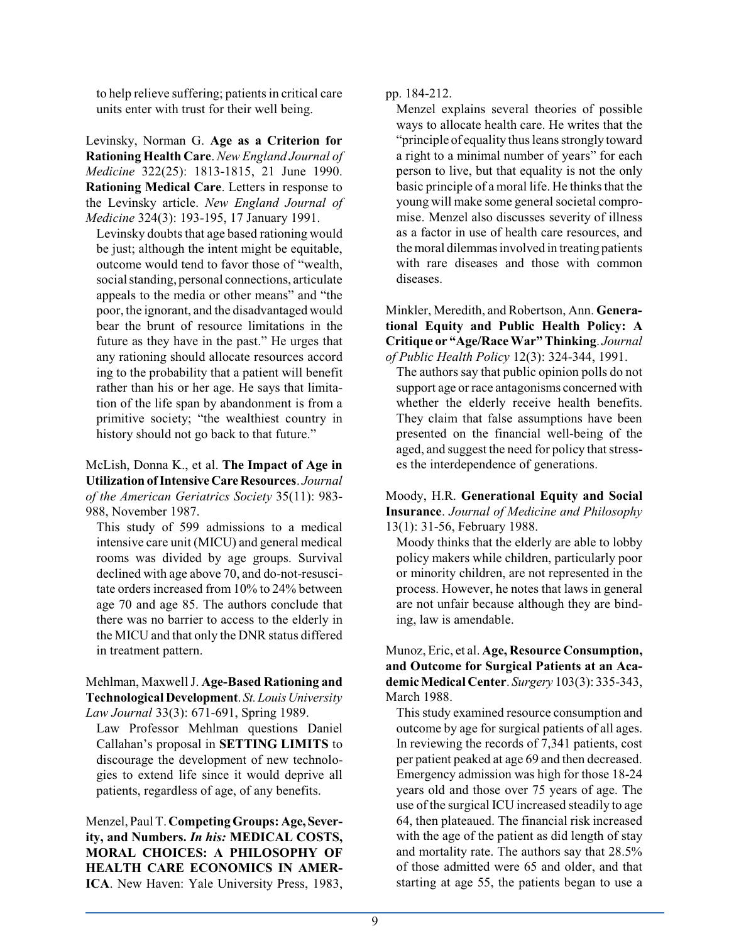to help relieve suffering; patients in critical care units enter with trust for their well being.

Levinsky, Norman G. **Age as a Criterion for Rationing Health Care**. *New England Journal of Medicine* 322(25): 1813-1815, 21 June 1990. **Rationing Medical Care**. Letters in response to the Levinsky article. *New England Journal of Medicine* 324(3): 193-195, 17 January 1991.

Levinsky doubts that age based rationing would be just; although the intent might be equitable, outcome would tend to favor those of "wealth, social standing, personal connections, articulate appeals to the media or other means" and "the poor, the ignorant, and the disadvantaged would bear the brunt of resource limitations in the future as they have in the past." He urges that any rationing should allocate resources accord ing to the probability that a patient will benefit rather than his or her age. He says that limitation of the life span by abandonment is from a primitive society; "the wealthiest country in history should not go back to that future."

McLish, Donna K., et al. **The Impact of Age in Utilization ofIntensiveCareResources**. *Journal of the American Geriatrics Society* 35(11): 983- 988, November 1987.

This study of 599 admissions to a medical intensive care unit (MICU) and general medical rooms was divided by age groups. Survival declined with age above 70, and do-not-resuscitate orders increased from 10% to 24% between age 70 and age 85. The authors conclude that there was no barrier to access to the elderly in the MICU and that only the DNR status differed in treatment pattern.

Mehlman, MaxwellJ. **Age-Based Rationing and Technological Development**. *St.LouisUniversity Law Journal* 33(3): 671-691, Spring 1989.

Law Professor Mehlman questions Daniel Callahan's proposal in **SETTING LIMITS** to discourage the development of new technologies to extend life since it would deprive all patients, regardless of age, of any benefits.

Menzel, Paul T. **Competing Groups: Age,Severity, and Numbers.** *In his:* **MEDICAL COSTS, MORAL CHOICES: A PHILOSOPHY OF HEALTH CARE ECONOMICS IN AMER-ICA**. New Haven: Yale University Press, 1983, pp. 184-212.

Menzel explains several theories of possible ways to allocate health care. He writes that the "principle of equality thus leans strongly toward a right to a minimal number of years" for each person to live, but that equality is not the only basic principle of a moral life. He thinks that the young will make some general societal compromise. Menzel also discusses severity of illness as a factor in use of health care resources, and the moral dilemmas involved in treating patients with rare diseases and those with common diseases.

Minkler, Meredith, and Robertson, Ann. **Generational Equity and Public Health Policy: A Critique or "Age/Race War" Thinking**. *Journal of Public Health Policy* 12(3): 324-344, 1991.

The authors say that public opinion polls do not support age or race antagonisms concerned with whether the elderly receive health benefits. They claim that false assumptions have been presented on the financial well-being of the aged, and suggest the need for policy that stresses the interdependence of generations.

Moody, H.R. **Generational Equity and Social Insurance**. *Journal of Medicine and Philosophy* 13(1): 31-56, February 1988.

Moody thinks that the elderly are able to lobby policy makers while children, particularly poor or minority children, are not represented in the process. However, he notes that laws in general are not unfair because although they are binding, law is amendable.

Munoz, Eric, et al. **Age, Resource Consumption, and Outcome for Surgical Patients at an AcademicMedical Center**. *Surgery* 103(3): 335-343, March 1988.

This study examined resource consumption and outcome by age for surgical patients of all ages. In reviewing the records of 7,341 patients, cost per patient peaked at age 69 and then decreased. Emergency admission was high for those 18-24 years old and those over 75 years of age. The use of the surgical ICU increased steadily to age 64, then plateaued. The financial risk increased with the age of the patient as did length of stay and mortality rate. The authors say that 28.5% of those admitted were 65 and older, and that starting at age 55, the patients began to use a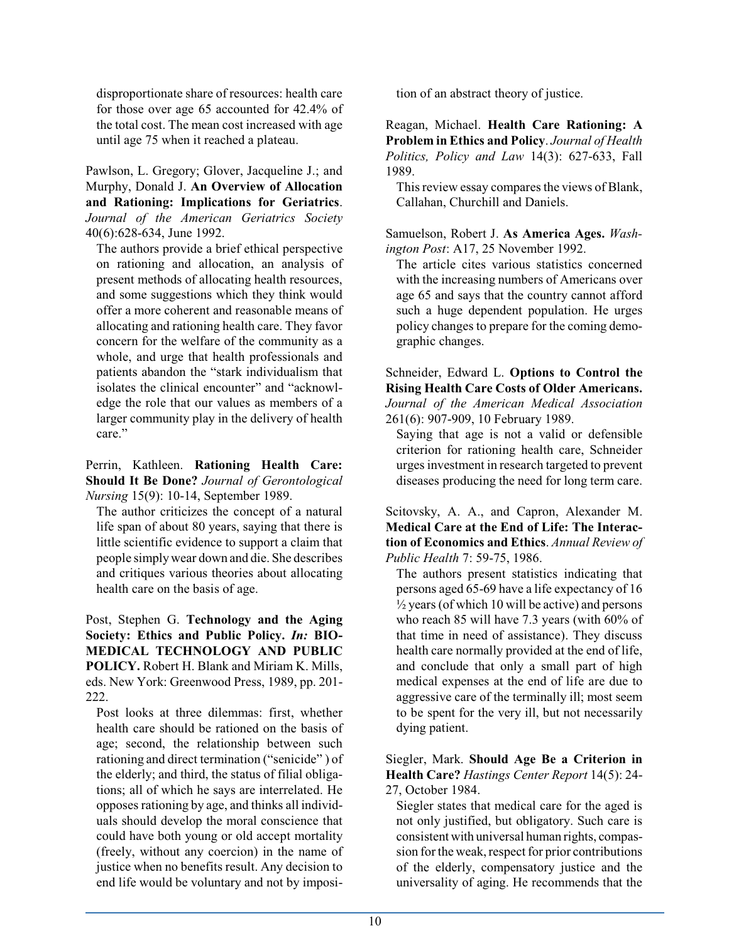disproportionate share of resources: health care for those over age 65 accounted for 42.4% of the total cost. The mean cost increased with age until age 75 when it reached a plateau.

Pawlson, L. Gregory; Glover, Jacqueline J.; and Murphy, Donald J. **An Overview of Allocation and Rationing: Implications for Geriatrics**. *Journal of the American Geriatrics Society* 40(6):628-634, June 1992.

The authors provide a brief ethical perspective on rationing and allocation, an analysis of present methods of allocating health resources, and some suggestions which they think would offer a more coherent and reasonable means of allocating and rationing health care. They favor concern for the welfare of the community as a whole, and urge that health professionals and patients abandon the "stark individualism that isolates the clinical encounter" and "acknowledge the role that our values as members of a larger community play in the delivery of health care."

Perrin, Kathleen. **Rationing Health Care: Should It Be Done?** *Journal of Gerontological Nursing* 15(9): 10-14, September 1989.

The author criticizes the concept of a natural life span of about 80 years, saying that there is little scientific evidence to support a claim that people simplywear down and die. She describes and critiques various theories about allocating health care on the basis of age.

Post, Stephen G. **Technology and the Aging Society: Ethics and Public Policy.** *In:* **BIO-MEDICAL TECHNOLOGY AND PUBLIC POLICY.** Robert H. Blank and Miriam K. Mills, eds. New York: Greenwood Press, 1989, pp. 201- 222.

Post looks at three dilemmas: first, whether health care should be rationed on the basis of age; second, the relationship between such rationing and direct termination ("senicide" ) of the elderly; and third, the status of filial obligations; all of which he says are interrelated. He opposes rationing by age, and thinks all individuals should develop the moral conscience that could have both young or old accept mortality (freely, without any coercion) in the name of justice when no benefits result. Any decision to end life would be voluntary and not by imposition of an abstract theory of justice.

Reagan, Michael. **Health Care Rationing: A Problem in Ethics and Policy**. *Journal of Health Politics, Policy and Law* 14(3): 627-633, Fall 1989.

This review essay compares the views of Blank, Callahan, Churchill and Daniels.

Samuelson, Robert J. **As America Ages.** *Washington Post*: A17, 25 November 1992.

The article cites various statistics concerned with the increasing numbers of Americans over age 65 and says that the country cannot afford such a huge dependent population. He urges policy changes to prepare for the coming demographic changes.

Schneider, Edward L. **Options to Control the Rising Health Care Costs of Older Americans.** *Journal of the American Medical Association* 261(6): 907-909, 10 February 1989.

Saying that age is not a valid or defensible criterion for rationing health care, Schneider urges investment in research targeted to prevent diseases producing the need for long term care.

Scitovsky, A. A., and Capron, Alexander M. **Medical Care at the End of Life: The Interaction of Economics and Ethics**. *Annual Review of Public Health* 7: 59-75, 1986.

The authors present statistics indicating that persons aged 65-69 have a life expectancy of 16  $\frac{1}{2}$  years (of which 10 will be active) and persons who reach 85 will have 7.3 years (with 60% of that time in need of assistance). They discuss health care normally provided at the end of life, and conclude that only a small part of high medical expenses at the end of life are due to aggressive care of the terminally ill; most seem to be spent for the very ill, but not necessarily dying patient.

Siegler, Mark. **Should Age Be a Criterion in Health Care?** *Hastings Center Report* 14(5): 24- 27, October 1984.

Siegler states that medical care for the aged is not only justified, but obligatory. Such care is consistent with universal human rights, compassion for the weak, respect for prior contributions of the elderly, compensatory justice and the universality of aging. He recommends that the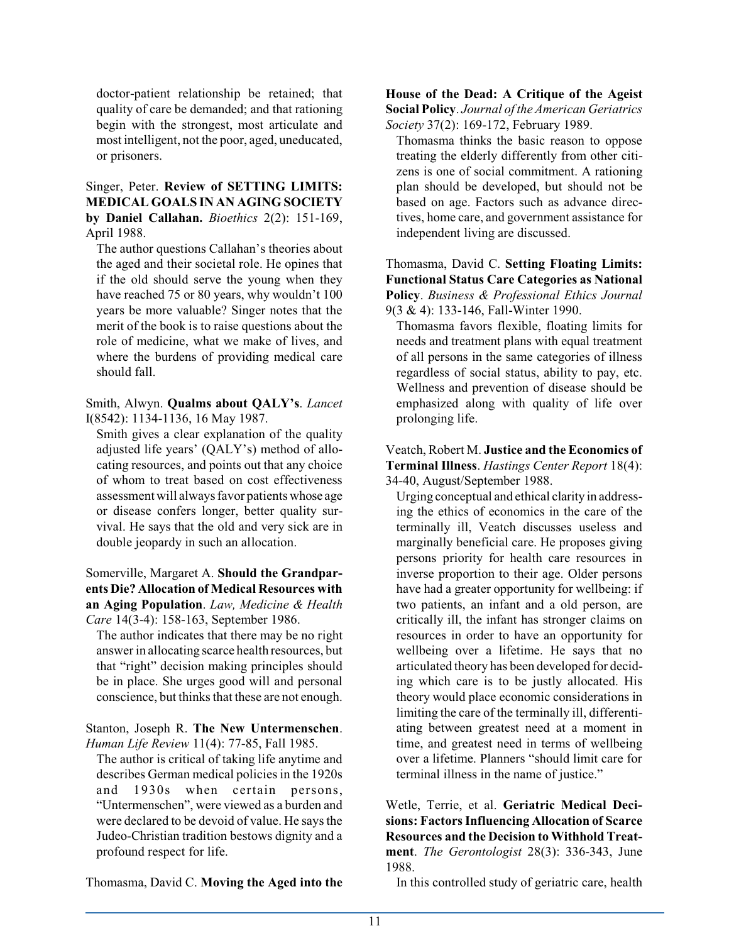doctor-patient relationship be retained; that quality of care be demanded; and that rationing begin with the strongest, most articulate and most intelligent, not the poor, aged, uneducated, or prisoners.

### Singer, Peter. **Review of SETTING LIMITS: MEDICAL GOALS IN AN AGING SOCIETY by Daniel Callahan.** *Bioethics* 2(2): 151-169, April 1988.

The author questions Callahan's theories about the aged and their societal role. He opines that if the old should serve the young when they have reached 75 or 80 years, why wouldn't 100 years be more valuable? Singer notes that the merit of the book is to raise questions about the role of medicine, what we make of lives, and where the burdens of providing medical care should fall.

Smith, Alwyn. **Qualms about QALY's**. *Lancet* I(8542): 1134-1136, 16 May 1987.

Smith gives a clear explanation of the quality adjusted life years' (QALY's) method of allocating resources, and points out that any choice of whom to treat based on cost effectiveness assessment will always favor patients whose age or disease confers longer, better quality survival. He says that the old and very sick are in double jeopardy in such an allocation.

Somerville, Margaret A. **Should the Grandparents Die? Allocation of Medical Resources with an Aging Population**. *Law, Medicine & Health Care* 14(3-4): 158-163, September 1986.

The author indicates that there may be no right answer in allocating scarce health resources, but that "right" decision making principles should be in place. She urges good will and personal conscience, but thinks that these are not enough.

Stanton, Joseph R. **The New Untermenschen**. *Human Life Review* 11(4): 77-85, Fall 1985.

The author is critical of taking life anytime and describes German medical policies in the 1920s and 1930s when certain persons, "Untermenschen", were viewed as a burden and were declared to be devoid of value. He says the Judeo-Christian tradition bestows dignity and a profound respect for life.

Thomasma, David C. **Moving the Aged into the**

**House of the Dead: A Critique of the Ageist Social Policy**. *Journal of the American Geriatrics Society* 37(2): 169-172, February 1989.

Thomasma thinks the basic reason to oppose treating the elderly differently from other citizens is one of social commitment. A rationing plan should be developed, but should not be based on age. Factors such as advance directives, home care, and government assistance for independent living are discussed.

### Thomasma, David C. **Setting Floating Limits: Functional Status Care Categories as National Policy**. *Business & Professional Ethics Journal* 9(3 & 4): 133-146, Fall-Winter 1990.

Thomasma favors flexible, floating limits for needs and treatment plans with equal treatment of all persons in the same categories of illness regardless of social status, ability to pay, etc. Wellness and prevention of disease should be emphasized along with quality of life over prolonging life.

#### Veatch, Robert M. **Justice and the Economics of Terminal Illness**. *Hastings Center Report* 18(4): 34-40, August/September 1988.

Urging conceptual and ethical clarity in addressing the ethics of economics in the care of the terminally ill, Veatch discusses useless and marginally beneficial care. He proposes giving persons priority for health care resources in inverse proportion to their age. Older persons have had a greater opportunity for wellbeing: if two patients, an infant and a old person, are critically ill, the infant has stronger claims on resources in order to have an opportunity for wellbeing over a lifetime. He says that no articulated theory has been developed for deciding which care is to be justly allocated. His theory would place economic considerations in limiting the care of the terminally ill, differentiating between greatest need at a moment in time, and greatest need in terms of wellbeing over a lifetime. Planners "should limit care for terminal illness in the name of justice."

Wetle, Terrie, et al. **Geriatric Medical Decisions: Factors Influencing Allocation of Scarce Resources and the Decision to Withhold Treatment**. *The Gerontologist* 28(3): 336-343, June 1988.

In this controlled study of geriatric care, health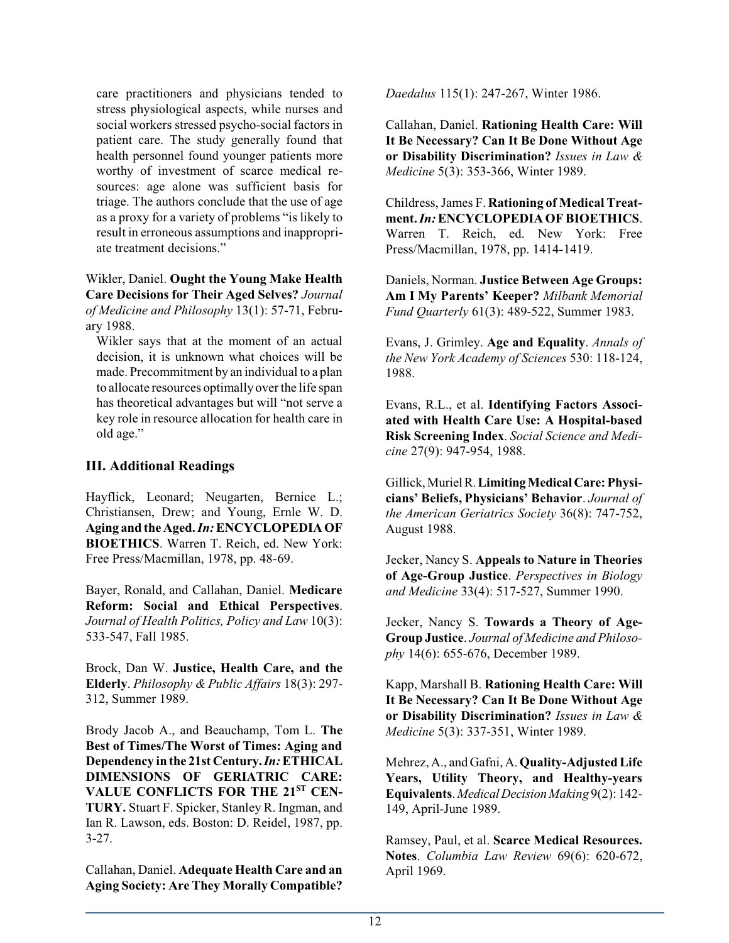care practitioners and physicians tended to stress physiological aspects, while nurses and social workers stressed psycho-social factors in patient care. The study generally found that health personnel found younger patients more worthy of investment of scarce medical resources: age alone was sufficient basis for triage. The authors conclude that the use of age as a proxy for a variety of problems "is likely to result in erroneous assumptions and inappropriate treatment decisions."

Wikler, Daniel. **Ought the Young Make Health Care Decisions for Their Aged Selves?** *Journal of Medicine and Philosophy* 13(1): 57-71, February 1988.

Wikler says that at the moment of an actual decision, it is unknown what choices will be made. Precommitment by an individual to a plan to allocate resources optimally over the life span has theoretical advantages but will "not serve a key role in resource allocation for health care in old age."

## **III. Additional Readings**

Hayflick, Leonard; Neugarten, Bernice L.; Christiansen, Drew; and Young, Ernle W. D. **Aging and the Aged.** *In:***ENCYCLOPEDIA OF BIOETHICS**. Warren T. Reich, ed. New York: Free Press/Macmillan, 1978, pp. 48-69.

Bayer, Ronald, and Callahan, Daniel. **Medicare Reform: Social and Ethical Perspectives**. *Journal of Health Politics, Policy and Law* 10(3): 533-547, Fall 1985.

Brock, Dan W. **Justice, Health Care, and the Elderly**. *Philosophy & Public Affairs* 18(3): 297- 312, Summer 1989.

Brody Jacob A., and Beauchamp, Tom L. **The Best of Times/The Worst of Times: Aging and Dependency in the 21st Century.***In:***ETHICAL DIMENSIONS OF GERIATRIC CARE: VALUE CONFLICTS FOR THE 21ST CEN-TURY.** Stuart F. Spicker, Stanley R. Ingman, and Ian R. Lawson, eds. Boston: D. Reidel, 1987, pp. 3-27.

Callahan, Daniel. **Adequate Health Care and an Aging Society: Are They Morally Compatible?** *Daedalus* 115(1): 247-267, Winter 1986.

Callahan, Daniel. **Rationing Health Care: Will It Be Necessary? Can It Be Done Without Age or Disability Discrimination?** *Issues in Law & Medicine* 5(3): 353-366, Winter 1989.

Childress, James F. **Rationing of Medical Treatment.** *In:***ENCYCLOPEDIA OFBIOETHICS**. Warren T. Reich, ed. New York: Free Press/Macmillan, 1978, pp. 1414-1419.

Daniels, Norman. **Justice Between Age Groups: Am I My Parents' Keeper?** *Milbank Memorial Fund Quarterly* 61(3): 489-522, Summer 1983.

Evans, J. Grimley. **Age and Equality**. *Annals of the New York Academy of Sciences* 530: 118-124, 1988.

Evans, R.L., et al. **Identifying Factors Associated with Health Care Use: A Hospital-based Risk Screening Index**. *Social Science and Medicine* 27(9): 947-954, 1988.

Gillick, MurielR.**LimitingMedicalCare:Physicians' Beliefs, Physicians' Behavior**. *Journal of the American Geriatrics Society* 36(8): 747-752, August 1988.

Jecker, Nancy S. **Appeals to Nature in Theories of Age-Group Justice**. *Perspectives in Biology and Medicine* 33(4): 517-527, Summer 1990.

Jecker, Nancy S. **Towards a Theory of Age-Group Justice**. *Journal of Medicine and Philosophy* 14(6): 655-676, December 1989.

Kapp, Marshall B. **Rationing Health Care: Will It Be Necessary? Can It Be Done Without Age or Disability Discrimination?** *Issues in Law & Medicine* 5(3): 337-351, Winter 1989.

Mehrez, A., and Gafni, A. **Quality-Adjusted Life Years, Utility Theory, and Healthy-years Equivalents**. *MedicalDecision Making* 9(2): 142- 149, April-June 1989.

Ramsey, Paul, et al. **Scarce Medical Resources. Notes**. *Columbia Law Review* 69(6): 620-672, April 1969.